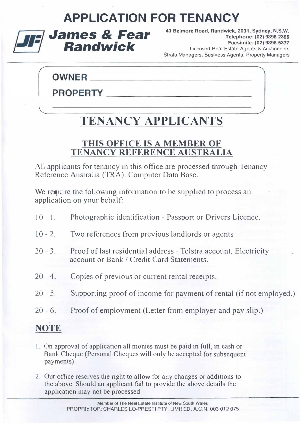### APPLICATION FOR TENANCY



43 Belmore Road, Randwick, 2031, Sydney, N.S.W. Telephone: (02) 9398 2366 Facsimile: (02) 9398 5377 Licensed Real Estate Agents & Auctioneers Strata Managers, Business Agents. Property Managers

### **OWNER**

PROPERTY

## TENANCY APPLICANTS

### THIS OFFiCE [S A MEMBER OF TENANCY REFERENCE AUSTRALIA

All applicants for tenancy in this office are processed through Tenancy Reference Australia (TRA). Computer Data Base.

We require the following information to be supplied to process an application on your behalf:-

- $10 1$ . Photographic identification - Passport or Drivers Licence.
- $10 2.$ Two references from previous landlords or agents.
- $20 3.$ Proof of last residential address - Telstra account, Electricity account or Bank / Credit Card Statements.
- $20 4$ Copies of previous or current rental receipts.
- $20 5$ Supporting proof of income for payment of rental (if not employed.)
- $20 6.$ Proof of employment (Letter from employer and pay slip.)

### NOTE

- I. On approval of application all monies must be paid in full, in cash or Bank Cheque (Personal Cheques will only be accepted for subsequent payments).
- 2. Our office reserves the right to allow for any changes or additions to the above. Should an applicant fail to provide the above details the application may not be processed.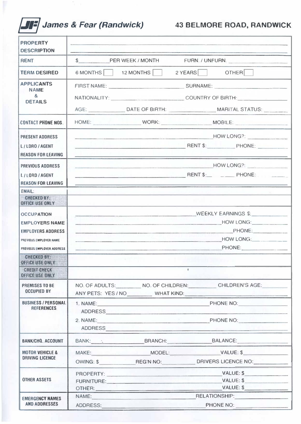# **JIF** James & Fear (Randwick) 43 BELMORE ROAD, RANDWICK

| <b>PROPERTY</b><br><b>DESCRIPTION</b>                                                                                         |                                                        |                  |  |                                                                                             |
|-------------------------------------------------------------------------------------------------------------------------------|--------------------------------------------------------|------------------|--|---------------------------------------------------------------------------------------------|
| <b>RENT</b>                                                                                                                   | $\sim$                                                 | PER WEEK / MONTH |  | FURN. / UNFURN.                                                                             |
| <b>TERM DESIRED</b>                                                                                                           | 6 MONTHS                                               | 12 MONTHS        |  | 2 YEARS OTHER                                                                               |
| <b>APPLICANTS</b><br><b>NAME</b><br>$\mathbf{g}$<br><b>DETAILS</b>                                                            | FIRST NAME: SURNAME:<br>NATIONALITY: COUNTRY OF BIRTH: |                  |  |                                                                                             |
|                                                                                                                               |                                                        |                  |  | AGE: ___________________DATE OF BIRTH: __________________________MARITAL STATUS: __________ |
| <b>CONTACT PHONE NOS.</b>                                                                                                     |                                                        |                  |  |                                                                                             |
| <b>PRESENT ADDRESS</b><br>L/LDRO/AGENT<br><b>REASON FOR LEAVING</b>                                                           |                                                        |                  |  | HOW LONG?:<br><b>PHONE:</b> PHONE: PHONE:                                                   |
| <b>PREVIOUS ADDRESS</b><br>L/LORD/AGENT<br><b>REASON FOR LEAVING</b>                                                          |                                                        |                  |  |                                                                                             |
| <b>EMAIL:</b>                                                                                                                 |                                                        |                  |  |                                                                                             |
| <b>CHECKED BY:</b><br><b>OFFICE USE ONLY</b>                                                                                  |                                                        |                  |  |                                                                                             |
| <b>OCCUPATION</b><br><b>EMPLOYERS NAME</b><br><b>EMPLOYERS ADDRESS</b><br>PREVIOUS EMPLOYER NAME<br>PREVIOUS EMPLOYER ADDRESS |                                                        |                  |  | WEEKLY EARNINGS \$:<br>HOW LONG:<br>HOW LONG:                                               |
| <b>CHECKED BY:</b><br><b>OFFICE USE ONLY</b>                                                                                  |                                                        |                  |  |                                                                                             |
| <b>CREDIT CHECK</b><br><b>OFFICE USE ONLY</b>                                                                                 |                                                        |                  |  |                                                                                             |
| <b>PREMISES TO BE</b><br><b>OCCUPIED BY</b>                                                                                   |                                                        |                  |  | NO. OF ADULTS: NO. OF CHILDREN: CHILDREN'S AGE:<br>ANY PETS: YES / NO WHAT KIND:            |
| <b>BUSINESS/PERSONAL</b><br><b>REFERENCES</b>                                                                                 |                                                        |                  |  | 1. NAME: PHONE NO: PHONE NO:<br>2. NAME: PHONE NO:                                          |
| <b>BANK/CHQ. ACCOUNT</b>                                                                                                      |                                                        |                  |  | BANK: : BRANCH: BRANCH: BALANCE:                                                            |
| <b>MOTOR VEHICLE &amp;</b><br><b>DRIVING LICENCE</b>                                                                          |                                                        |                  |  | OWING: \$ REG'N NO: DRIVERS LICENCE NO:                                                     |
| <b>OTHER ASSETS</b>                                                                                                           |                                                        |                  |  | OTHER: VALUE: \$                                                                            |
| <b>EMERGENCY NAMES</b><br>AND ADDRESSES                                                                                       | ADDRESS: ADDRESS:                                      |                  |  | NAME: RELATIONSHIP: RELATIONSHIP:<br>PHONE NO:                                              |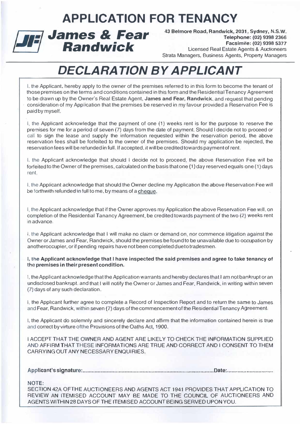### APPLICATION FOR TENANCY



43 Belmore Road, Randwick, 2031, Sydney, N.S.W. Telephone: (02) 9398 2366 Facsimile: (02) 9398 5377 Licensed Real Estate Agents & Auctioneers Strata Managers. Business Agents, Property Managers

## DECLARATION BY APPLICANT

J, the Applicant. hereby apply to the owner of the premises referred to in this form to become the tenant of those premises on the terms and conditions contained in this form and the Residential Tenancy Agreement to be drawn up by the Owner's Real Estate Agent, James and Fear, Randwick, and request that pending consideration of my Application that the premises be reserved in my favour provided a Reservation Fee is paid by myself.

I. the Applicant acknowledge that the payment of one (1) weeks rent is for the purpose to reserve the premises for me for a period of seven (7) days from the date of payment. Should I decide not to proceed or call to sign the lease and supply the information requested within the reservation period, the above reservation fees shall be forfeited to the owner of the premises. Should my application be rejected, the reservation fees will be refunded in full. If accepted, it will be credited towards payment of rent.

I, the Applicant acknowledge that should I decide not to proceed. the above Reservation Fee will be forfeited to the Owner of the premises, calculated on the basis that one (1) day reserved equals one (1) days rent.

I. the Applicant acknowledge that should the Owner decline my Application the above Reservation Fee will be forthwith refunded in full to me. by means of a cheque.

I, the Applicant acknowledge that if the Owner approves my Application the above Reservation Fee will. on completion of the Residential Tanancy Agreement, be credited towards payment of the two (2) weeks rent in advance.

I, the Applicant acknowledge that I will make no claim or demand on, nor commence litigation against the Owner or James and Fear, Randwick, should the premises be found 10 be unavailable due to occupation by anolheroccupier, or if pending repairs have not been completed dueto tradesmen.

I, the Applicant acknowledge that I have inspected the said premises and agree to take tenancy of the premises in their present condition.

I. the Applicant acknowledge that the Application warrants and hereby declares that I am not bankrupt or an undisclosed bankrupt, and that I will notify the Owner or James and Fear, Randwick, in writing within seven (7) days of any such declaration.

I, the Applicant further agree to complete a Record of Inspection Report and to return the same to James and Fear, Aandwick, within seven (7) days of the commencement of the Residential Tenancy Agreement.

1, the Applicant do solemnly and sincerely declare and affirm that the information contained herein is true and correct by virture of the Provisions of the Oaths Act, 1900.

I ACCEPT THAT THE OWNER AND AGENT ARE LIKELY TO CHECK THE INFORMATION SUPPLIED AND AFFIRM THAT THESE INFORMATIONS ARE TRUE AND CORRECT AND I CONSENT TO THEM CARRYING OUT ANY NECESSARY ENQUIRIES.

Applicant's signature: ..................................... ............................... .. .................. Date: .............................. .

#### NOTE:

SECTION 42A OFTHE AUCTIONEERS AND AGENTS ACT 1941 PROVIDES THAT APPLICATION TO REVIEW AN ITEMISED ACCOUNT MAY BE MADE TO THE COUNCIL OF AUCTIONEERS AND AGENTS WITHIN 28 DAYS OF THE ITEMISED ACCOUNT BEING SERVED UPON YOU.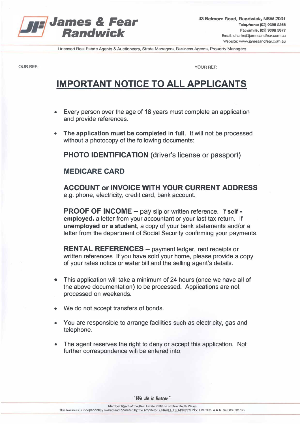

Licensed Real Estate Agents & Auctioneers, Strata Managers, Business Agents, Property Managers

**OUR REF:** 

**YOUR REF:** 

### **IMPORTANT NOTICE TO ALL APPLICANTS**

- Every person over the age of 18 years must complete an application and provide references.
- The application must be completed in full. It will not be processed  $\bullet$ without a photocopy of the following documents:

**PHOTO IDENTIFICATION (driver's license or passport)** 

### **MEDICARE CARD**

**ACCOUNT or INVOICE WITH YOUR CURRENT ADDRESS** e.g. phone, electricity, credit card, bank account.

**PROOF OF INCOME - pay slip or written reference. If self** employed, a letter from your accountant or your last tax return. If unemployed or a student, a copy of your bank statements and/or a letter from the department of Social Security confirming your payments.

**RENTAL REFERENCES** - payment ledger, rent receipts or written references If you have sold your home, please provide a copy of your rates notice or water bill and the selling agent's details.

- This application will take a minimum of 24 hours (once we have all of  $\bullet$ the above documentation) to be processed. Applications are not processed on weekends.
- We do not accept transfers of bonds.
- You are responsible to arrange facilities such as electricity, gas and telephone.
- The agent reserves the right to deny or accept this application. Not further correspondence will be entered into.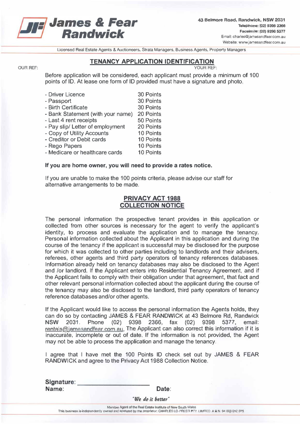

43 Belmore Road, Randwick, NSW 2031 Telephone: (02) 9398 2366 Facsimile: (02) 9398 5377 Email: charles@jamesandfear.com.au Website: www.jamesandfear.com.au

Ucensed Real Estate Agents & Auctioneers, Strata Managers, Business Agents, Property Managers

#### TENANCY APPLICATION IDENTIFICATION

#### OUR REF: YOUR REF:

Before application will be considered, each applicant must provide a minimum of 100 points of 10. At lease one form of 10 provided must have a signature and photo.

| - Driver Licence                  | 30 Points |
|-----------------------------------|-----------|
| - Passport                        | 30 Points |
| - Birth Certificate               | 30 Points |
| - Bank Statement (with your name) | 20 Points |
| - Last 4 rent receipts            | 50 Points |
| - Pay slip/ Letter of employment  | 20 Points |
| - Copy of Utility Accounts        | 10 Points |
| - Creditor or Debit cards         | 10 Points |
| - Rego Papers                     | 10 Points |
| - Medicare or healthcare cards    | 10 Points |

#### If you are home owner, you will need to provide a rates notice.

If you are unable to make the 100 points criteria, please advise our staff for alternative arrangements to be made.

#### PRIVACY ACT 1988 COLLECTION NOTICE

The personal information the prospective tenant provides in this application or collected from other sources is necessary for the agent to verify the applicant's identity, to process and evaluate the application and to manage the tenancy. Personal information collected about the Applicant in this application and during the course of the tenancy if the applicant is successful may be disclosed for the purpose for which it was collected to other parties including to landlords and their advisers, referees, other agents and third party operators of tenancy references databases. Information already held on tenancy databases may also be disclosed to the Agent and lor landlord. If the Applicant enters into Residential Tenancy Agreement, and if the Applicant fails to comply with their obligation under that agreement, that fact and other relevant personal information collected about the applicant during the course of the tenancy may also be disclosed to the landlord, third party operators of tenancy reference databases and/or other agents.

If the Applicant would like to access the personal information the Agents holds, they can do so by contacting JAMES & FEAR RANDWICK at 43 Belmore Rd, Randwick NSW 2031. Phone (02) 9398 2366, fax (02) 9398 5377, email: rentals@jamesandfear.com.au. The Applicant can also correct this information if it is inaccurate, incomplete or out of date. If the information is not provided, the Agent may not be able to process the application and manage the tenancy.

I agree that I have met the 100 Points ID check set out by JAMES & FEAR RANDWICK and agree to the Privacy Act 1988 Collection Notice.

| Signature: |                   |
|------------|-------------------|
| Name:      | Date:             |
|            | "We do it better" |